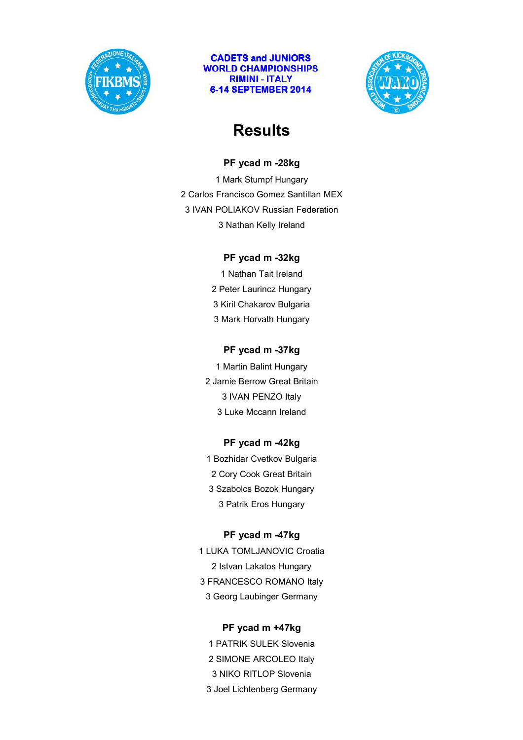



# **Results**

#### **PF ycad m -28kg**

1 Mark Stumpf Hungary 2 Carlos Francisco Gomez Santillan MEX 3 IVAN POLIAKOV Russian Federation 3 Nathan Kelly Ireland

### **PF ycad m -32kg**

1 Nathan Tait Ireland 2 Peter Laurincz Hungary 3 Kiril Chakarov Bulgaria 3 Mark Horvath Hungary

### **PF ycad m -37kg**

1 Martin Balint Hungary 2 Jamie Berrow Great Britain 3 IVAN PENZO Italy 3 Luke Mccann Ireland

#### **PF ycad m -42kg**

1 Bozhidar Cvetkov Bulgaria 2 Cory Cook Great Britain 3 Szabolcs Bozok Hungary 3 Patrik Eros Hungary

#### **PF ycad m -47kg**

1 LUKA TOMLJANOVIC Croatia 2 Istvan Lakatos Hungary 3 FRANCESCO ROMANO Italy 3 Georg Laubinger Germany

#### **PF ycad m +47kg**

1 PATRIK SULEK Slovenia 2 SIMONE ARCOLEO Italy 3 NIKO RITLOP Slovenia 3 Joel Lichtenberg Germany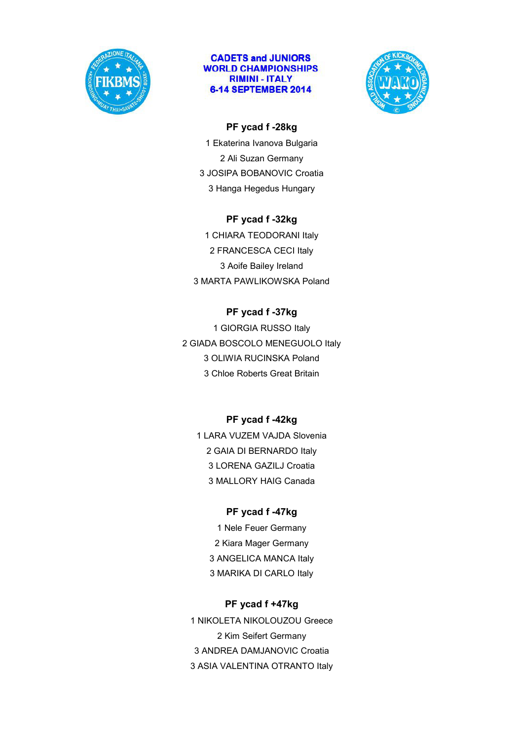



### **PF ycad f -28kg**

1 Ekaterina Ivanova Bulgaria 2 Ali Suzan Germany 3 JOSIPA BOBANOVIC Croatia 3 Hanga Hegedus Hungary

### **PF ycad f -32kg**

1 CHIARA TEODORANI Italy 2 FRANCESCA CECI Italy 3 Aoife Bailey Ireland 3 MARTA PAWLIKOWSKA Poland

## **PF ycad f -37kg**

1 GIORGIA RUSSO Italy 2 GIADA BOSCOLO MENEGUOLO Italy 3 OLIWIA RUCINSKA Poland 3 Chloe Roberts Great Britain

## **PF ycad f -42kg**

1 LARA VUZEM VAJDA Slovenia 2 GAIA DI BERNARDO Italy 3 LORENA GAZILJ Croatia 3 MALLORY HAIG Canada

## **PF ycad f -47kg**

1 Nele Feuer Germany 2 Kiara Mager Germany 3 ANGELICA MANCA Italy 3 MARIKA DI CARLO Italy

## **PF ycad f +47kg**

1 NIKOLETA NIKOLOUZOU Greece 2 Kim Seifert Germany 3 ANDREA DAMJANOVIC Croatia 3 ASIA VALENTINA OTRANTO Italy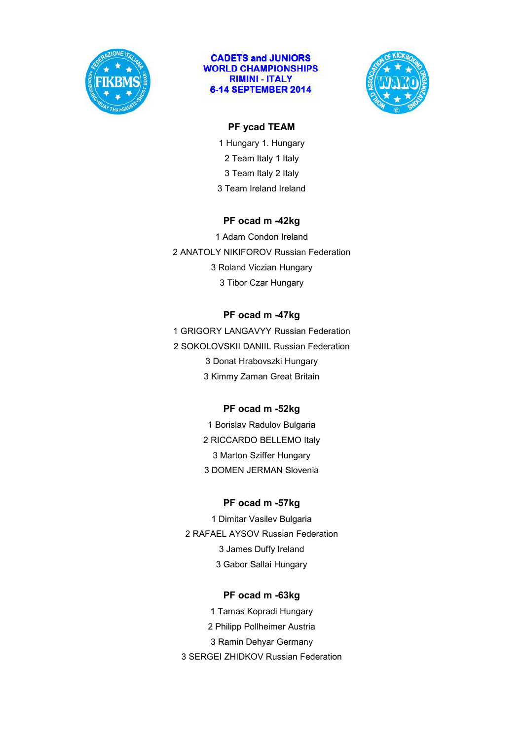



### **PF ycad TEAM**

1 Hungary 1. Hungary 2 Team Italy 1 Italy 3 Team Italy 2 Italy 3 Team Ireland Ireland

#### **PF ocad m -42kg**

1 Adam Condon Ireland 2 ANATOLY NIKIFOROV Russian Federation 3 Roland Viczian Hungary 3 Tibor Czar Hungary

## **PF ocad m -47kg**

1 GRIGORY LANGAVYY Russian Federation 2 SOKOLOVSKII DANIIL Russian Federation 3 Donat Hrabovszki Hungary 3 Kimmy Zaman Great Britain

## **PF ocad m -52kg**

1 Borislav Radulov Bulgaria 2 RICCARDO BELLEMO Italy 3 Marton Sziffer Hungary 3 DOMEN JERMAN Slovenia

#### **PF ocad m -57kg**

1 Dimitar Vasilev Bulgaria 2 RAFAEL AYSOV Russian Federation 3 James Duffy Ireland 3 Gabor Sallai Hungary

#### **PF ocad m -63kg**

1 Tamas Kopradi Hungary 2 Philipp Pollheimer Austria 3 Ramin Dehyar Germany 3 SERGEI ZHIDKOV Russian Federation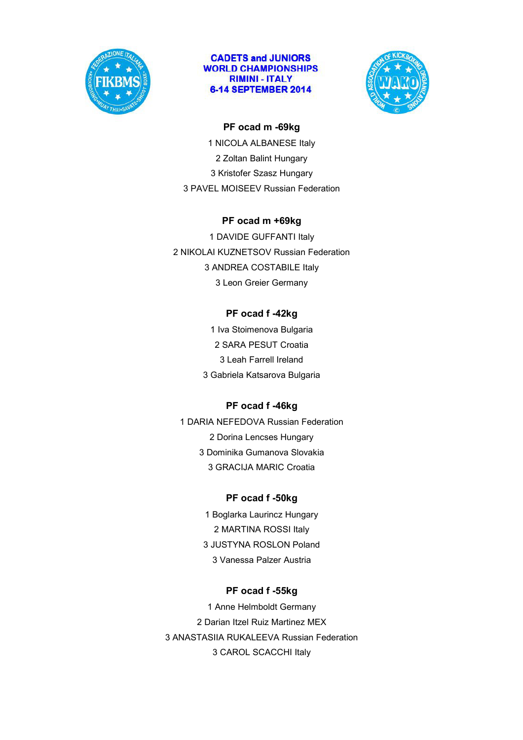



#### **PF ocad m -69kg**

1 NICOLA ALBANESE Italy 2 Zoltan Balint Hungary 3 Kristofer Szasz Hungary 3 PAVEL MOISEEV Russian Federation

### **PF ocad m +69kg**

1 DAVIDE GUFFANTI Italy 2 NIKOLAI KUZNETSOV Russian Federation 3 ANDREA COSTABILE Italy 3 Leon Greier Germany

## **PF ocad f -42kg**

1 Iva Stoimenova Bulgaria 2 SARA PESUT Croatia 3 Leah Farrell Ireland 3 Gabriela Katsarova Bulgaria

## **PF ocad f -46kg**

1 DARIA NEFEDOVA Russian Federation 2 Dorina Lencses Hungary 3 Dominika Gumanova Slovakia 3 GRACIJA MARIC Croatia

## **PF ocad f -50kg**

1 Boglarka Laurincz Hungary 2 MARTINA ROSSI Italy 3 JUSTYNA ROSLON Poland 3 Vanessa Palzer Austria

## **PF ocad f -55kg**

1 Anne Helmboldt Germany 2 Darian Itzel Ruiz Martinez MEX 3 ANASTASIIA RUKALEEVA Russian Federation 3 CAROL SCACCHI Italy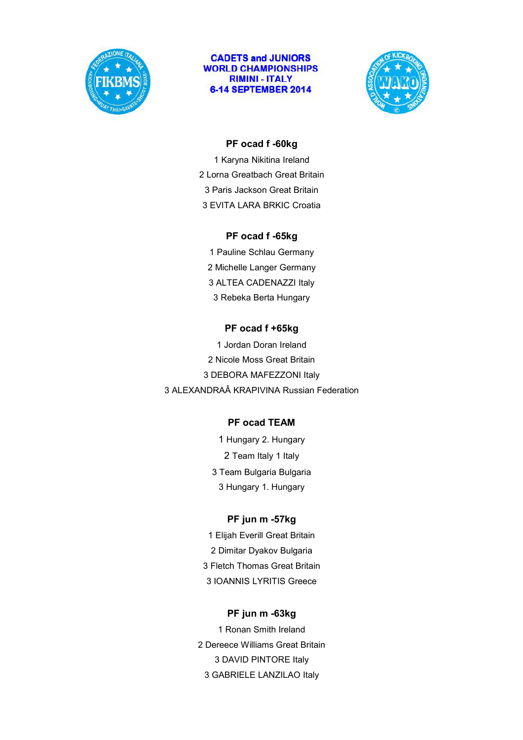



#### **PF ocad f -60kg**

1 Karyna Nikitina Ireland 2 Lorna Greatbach Great Britain 3 Paris Jackson Great Britain 3 EVITA LARA BRKIC Croatia

#### **PF ocad f -65kg**

1 Pauline Schlau Germany 2 Michelle Langer Germany 3 ALTEA CADENAZZI Italy 3 Rebeka Berta Hungary

### **PF ocad f +65kg**

1 Jordan Doran Ireland 2 Nicole Moss Great Britain 3 DEBORA MAFEZZONI Italy 3 ALEXANDRAÂ KRAPIVINA Russian Federation

## **PF ocad TEAM**

1 Hungary 2. Hungary 2 Team Italy 1 Italy 3 Team Bulgaria Bulgaria 3 Hungary 1. Hungary

## **PF jun m -57kg**

1 Elijah Everill Great Britain 2 Dimitar Dyakov Bulgaria 3 Fletch Thomas Great Britain 3 IOANNIS LYRITIS Greece

#### **PF jun m -63kg**

1 Ronan Smith Ireland 2 Dereece Williams Great Britain 3 DAVID PINTORE Italy 3 GABRIELE LANZILAO Italy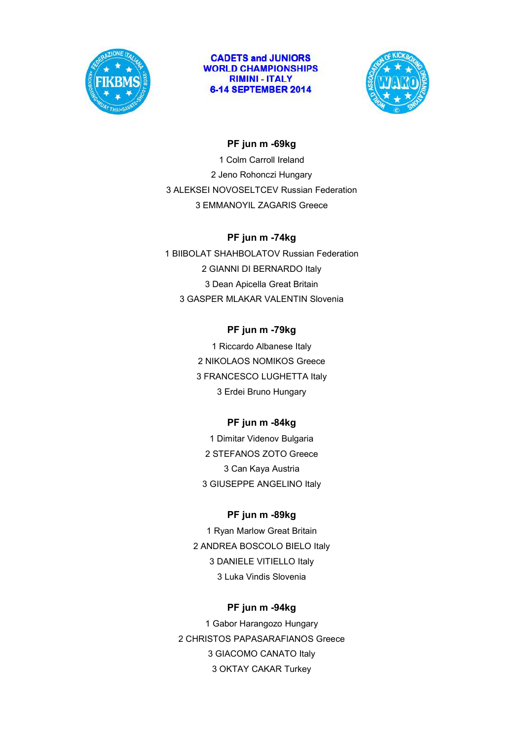



### **PF jun m -69kg**

1 Colm Carroll Ireland 2 Jeno Rohonczi Hungary 3 ALEKSEI NOVOSELTCEV Russian Federation 3 EMMANOYIL ZAGARIS Greece

#### **PF jun m -74kg**

1 BIIBOLAT SHAHBOLATOV Russian Federation 2 GIANNI DI BERNARDO Italy 3 Dean Apicella Great Britain 3 GASPER MLAKAR VALENTIN Slovenia

#### **PF jun m -79kg**

1 Riccardo Albanese Italy 2 NIKOLAOS NOMIKOS Greece 3 FRANCESCO LUGHETTA Italy 3 Erdei Bruno Hungary

#### **PF jun m -84kg**

1 Dimitar Videnov Bulgaria 2 STEFANOS ZOTO Greece 3 Can Kaya Austria 3 GIUSEPPE ANGELINO Italy

#### **PF jun m -89kg**

1 Ryan Marlow Great Britain 2 ANDREA BOSCOLO BIELO Italy 3 DANIELE VITIELLO Italy 3 Luka Vindis Slovenia

#### **PF jun m -94kg**

1 Gabor Harangozo Hungary 2 CHRISTOS PAPASARAFIANOS Greece 3 GIACOMO CANATO Italy 3 OKTAY CAKAR Turkey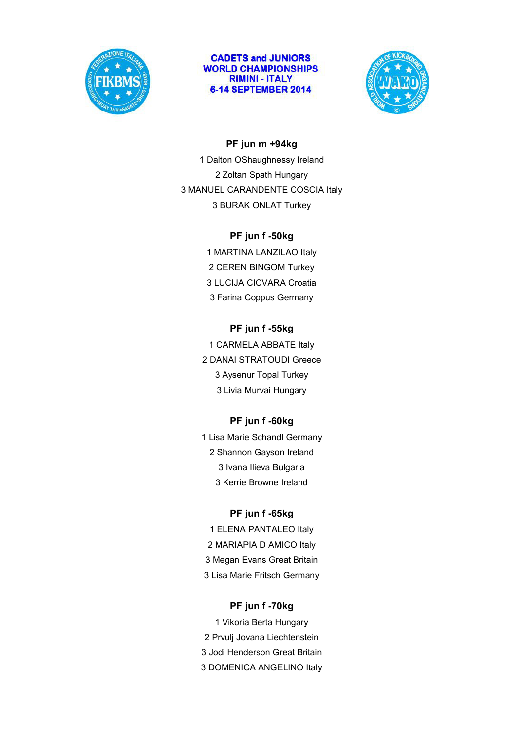



#### **PF jun m +94kg**

1 Dalton OShaughnessy Ireland 2 Zoltan Spath Hungary 3 MANUEL CARANDENTE COSCIA Italy 3 BURAK ONLAT Turkey

#### **PF jun f -50kg**

1 MARTINA LANZILAO Italy 2 CEREN BINGOM Turkey 3 LUCIJA CICVARA Croatia 3 Farina Coppus Germany

#### **PF jun f -55kg**

1 CARMELA ABBATE Italy 2 DANAI STRATOUDI Greece 3 Aysenur Topal Turkey 3 Livia Murvai Hungary

#### **PF jun f -60kg**

1 Lisa Marie Schandl Germany 2 Shannon Gayson Ireland 3 Ivana Ilieva Bulgaria 3 Kerrie Browne Ireland

#### **PF jun f -65kg**

1 ELENA PANTALEO Italy 2 MARIAPIA D AMICO Italy 3 Megan Evans Great Britain 3 Lisa Marie Fritsch Germany

#### **PF jun f -70kg**

1 Vikoria Berta Hungary 2 Prvulj Jovana Liechtenstein 3 Jodi Henderson Great Britain 3 DOMENICA ANGELINO Italy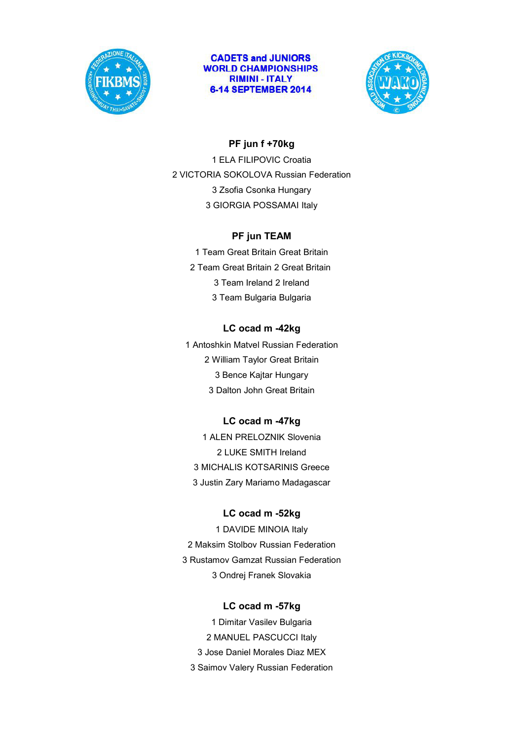



### **PF jun f +70kg**

1 ELA FILIPOVIC Croatia 2 VICTORIA SOKOLOVA Russian Federation 3 Zsofia Csonka Hungary 3 GIORGIA POSSAMAI Italy

### **PF jun TEAM**

1 Team Great Britain Great Britain 2 Team Great Britain 2 Great Britain 3 Team Ireland 2 Ireland 3 Team Bulgaria Bulgaria

## **LC ocad m -42kg**

1 Antoshkin Matvel Russian Federation 2 William Taylor Great Britain 3 Bence Kajtar Hungary 3 Dalton John Great Britain

## **LC ocad m -47kg**

1 ALEN PRELOZNIK Slovenia 2 LUKE SMITH Ireland 3 MICHALIS KOTSARINIS Greece 3 Justin Zary Mariamo Madagascar

#### **LC ocad m -52kg**

1 DAVIDE MINOIA Italy 2 Maksim Stolbov Russian Federation 3 Rustamov Gamzat Russian Federation 3 Ondrej Franek Slovakia

#### **LC ocad m -57kg**

1 Dimitar Vasilev Bulgaria 2 MANUEL PASCUCCI Italy 3 Jose Daniel Morales Diaz MEX 3 Saimov Valery Russian Federation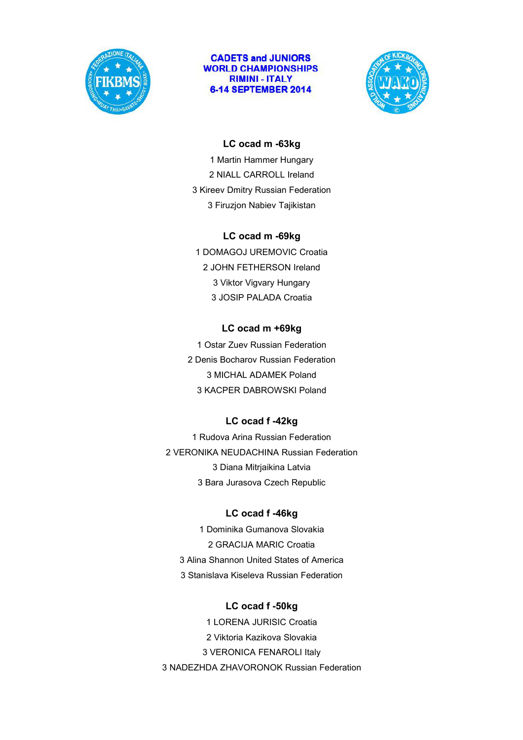



#### **LC ocad m -63kg**

1 Martin Hammer Hungary 2 NIALL CARROLL Ireland 3 Kireev Dmitry Russian Federation 3 Firuzjon Nabiev Tajikistan

#### **LC ocad m -69kg**

1 DOMAGOJ UREMOVIC Croatia 2 JOHN FETHERSON Ireland 3 Viktor Vigvary Hungary 3 JOSIP PALADA Croatia

#### **LC ocad m +69kg**

1 Ostar Zuev Russian Federation 2 Denis Bocharov Russian Federation 3 MICHAL ADAMEK Poland 3 KACPER DABROWSKI Poland

#### **LC ocad f -42kg**

1 Rudova Arina Russian Federation 2 VERONIKA NEUDACHINA Russian Federation 3 Diana Mitrjaikina Latvia 3 Bara Jurasova Czech Republic

#### **LC ocad f -46kg**

1 Dominika Gumanova Slovakia 2 GRACIJA MARIC Croatia 3 Alina Shannon United States of America 3 Stanislava Kiseleva Russian Federation

#### **LC ocad f -50kg**

1 LORENA JURISIC Croatia 2 Viktoria Kazikova Slovakia 3 VERONICA FENAROLI Italy 3 NADEZHDA ZHAVORONOK Russian Federation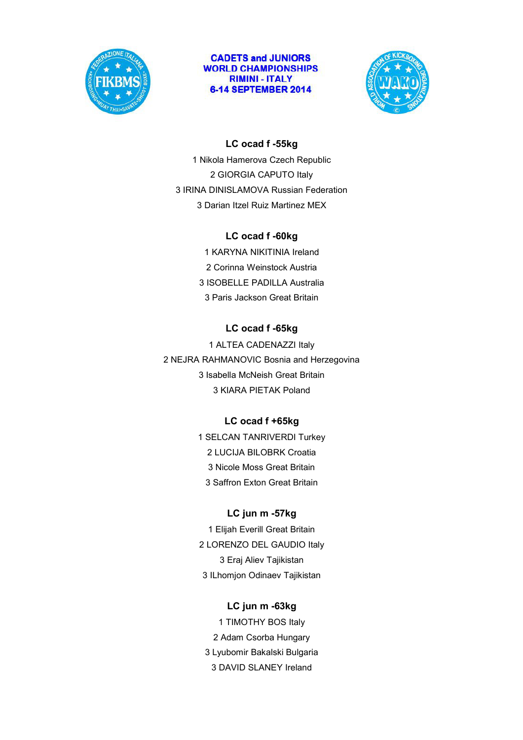



### **LC ocad f -55kg**

1 Nikola Hamerova Czech Republic 2 GIORGIA CAPUTO Italy 3 IRINA DINISLAMOVA Russian Federation 3 Darian Itzel Ruiz Martinez MEX

#### **LC ocad f -60kg**

1 KARYNA NIKITINIA Ireland 2 Corinna Weinstock Austria 3 ISOBELLE PADILLA Australia 3 Paris Jackson Great Britain

### **LC ocad f -65kg**

1 ALTEA CADENAZZI Italy 2 NEJRA RAHMANOVIC Bosnia and Herzegovina 3 Isabella McNeish Great Britain 3 KIARA PIETAK Poland

#### **LC ocad f +65kg**

1 SELCAN TANRIVERDI Turkey 2 LUCIJA BILOBRK Croatia 3 Nicole Moss Great Britain 3 Saffron Exton Great Britain

## **LC jun m -57kg**

1 Elijah Everill Great Britain 2 LORENZO DEL GAUDIO Italy 3 Eraj Aliev Tajikistan 3 ILhomjon Odinaev Tajikistan

#### **LC jun m -63kg**

1 TIMOTHY BOS Italy 2 Adam Csorba Hungary 3 Lyubomir Bakalski Bulgaria 3 DAVID SLANEY Ireland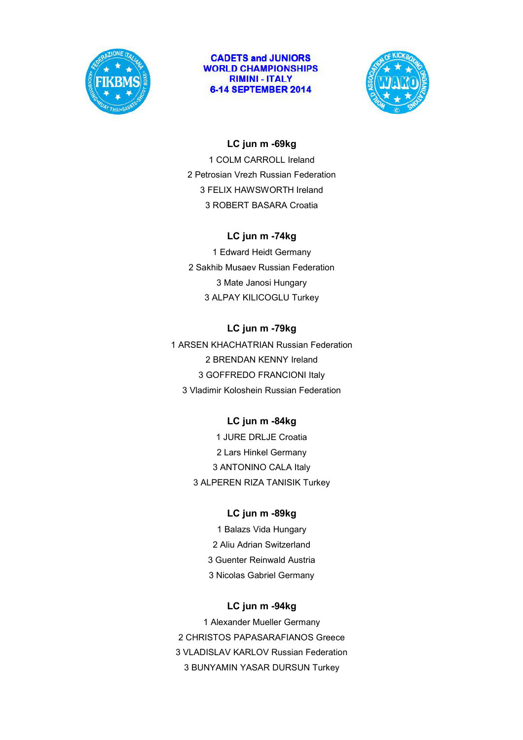



#### **LC jun m -69kg**

1 COLM CARROLL Ireland 2 Petrosian Vrezh Russian Federation 3 FELIX HAWSWORTH Ireland 3 ROBERT BASARA Croatia

### **LC jun m -74kg**

1 Edward Heidt Germany 2 Sakhib Musaev Russian Federation 3 Mate Janosi Hungary 3 ALPAY KILICOGLU Turkey

## **LC jun m -79kg**

1 ARSEN KHACHATRIAN Russian Federation 2 BRENDAN KENNY Ireland 3 GOFFREDO FRANCIONI Italy 3 Vladimir Koloshein Russian Federation

## **LC jun m -84kg**

1 JURE DRLJE Croatia 2 Lars Hinkel Germany 3 ANTONINO CALA Italy 3 ALPEREN RIZA TANISIK Turkey

## **LC jun m -89kg**

1 Balazs Vida Hungary 2 Aliu Adrian Switzerland 3 Guenter Reinwald Austria 3 Nicolas Gabriel Germany

#### **LC jun m -94kg**

1 Alexander Mueller Germany 2 CHRISTOS PAPASARAFIANOS Greece 3 VLADISLAV KARLOV Russian Federation 3 BUNYAMIN YASAR DURSUN Turkey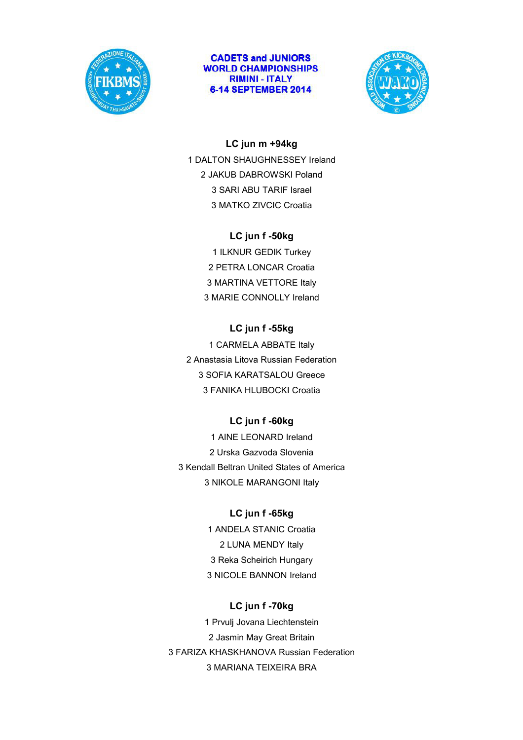



#### **LC jun m +94kg**

1 DALTON SHAUGHNESSEY Ireland 2 JAKUB DABROWSKI Poland 3 SARI ABU TARIF Israel 3 MATKO ZIVCIC Croatia

## **LC jun f -50kg**

1 ILKNUR GEDIK Turkey 2 PETRA LONCAR Croatia 3 MARTINA VETTORE Italy 3 MARIE CONNOLLY Ireland

## **LC jun f -55kg**

1 CARMELA ABBATE Italy 2 Anastasia Litova Russian Federation 3 SOFIA KARATSALOU Greece 3 FANIKA HLUBOCKI Croatia

## **LC jun f -60kg**

1 AINE LEONARD Ireland 2 Urska Gazvoda Slovenia 3 Kendall Beltran United States of America 3 NIKOLE MARANGONI Italy

## **LC jun f -65kg**

1 ANDELA STANIC Croatia 2 LUNA MENDY Italy 3 Reka Scheirich Hungary 3 NICOLE BANNON Ireland

## **LC jun f -70kg**

1 Prvulj Jovana Liechtenstein 2 Jasmin May Great Britain 3 FARIZA KHASKHANOVA Russian Federation 3 MARIANA TEIXEIRA BRA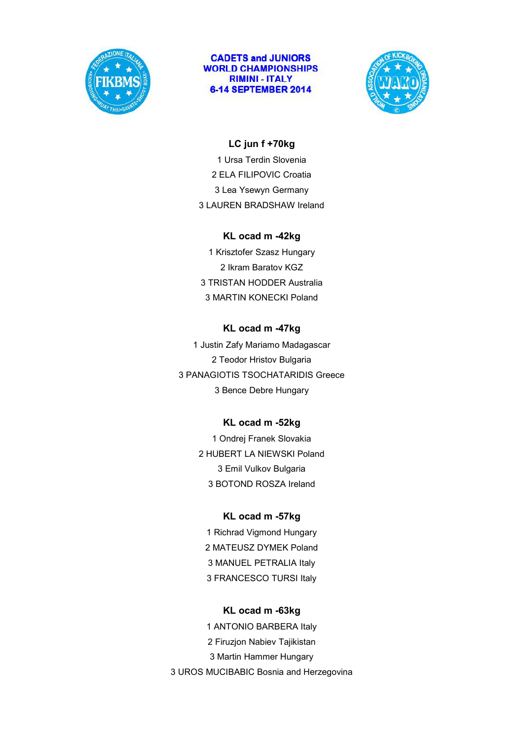



#### **LC jun f +70kg**

1 Ursa Terdin Slovenia 2 ELA FILIPOVIC Croatia 3 Lea Ysewyn Germany 3 LAUREN BRADSHAW Ireland

#### **KL ocad m -42kg**

1 Krisztofer Szasz Hungary 2 Ikram Baratov KGZ 3 TRISTAN HODDER Australia 3 MARTIN KONECKI Poland

### **KL ocad m -47kg**

1 Justin Zafy Mariamo Madagascar 2 Teodor Hristov Bulgaria 3 PANAGIOTIS TSOCHATARIDIS Greece 3 Bence Debre Hungary

## **KL ocad m -52kg**

1 Ondrej Franek Slovakia 2 HUBERT LA NIEWSKI Poland 3 Emil Vulkov Bulgaria 3 BOTOND ROSZA Ireland

## **KL ocad m -57kg**

1 Richrad Vigmond Hungary 2 MATEUSZ DYMEK Poland 3 MANUEL PETRALIA Italy 3 FRANCESCO TURSI Italy

#### **KL ocad m -63kg**

1 ANTONIO BARBERA Italy 2 Firuzjon Nabiev Tajikistan 3 Martin Hammer Hungary 3 UROS MUCIBABIC Bosnia and Herzegovina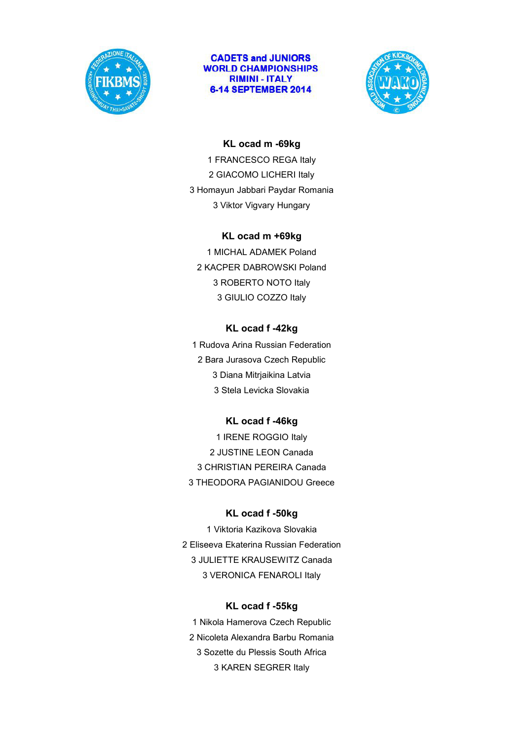



#### **KL ocad m -69kg**

1 FRANCESCO REGA Italy 2 GIACOMO LICHERI Italy 3 Homayun Jabbari Paydar Romania 3 Viktor Vigvary Hungary

#### **KL ocad m +69kg**

1 MICHAL ADAMEK Poland 2 KACPER DABROWSKI Poland 3 ROBERTO NOTO Italy 3 GIULIO COZZO Italy

#### **KL ocad f -42kg**

1 Rudova Arina Russian Federation 2 Bara Jurasova Czech Republic 3 Diana Mitrjaikina Latvia 3 Stela Levicka Slovakia

## **KL ocad f -46kg**

1 IRENE ROGGIO Italy 2 JUSTINE LEON Canada 3 CHRISTIAN PEREIRA Canada 3 THEODORA PAGIANIDOU Greece

#### **KL ocad f -50kg**

1 Viktoria Kazikova Slovakia 2 Eliseeva Ekaterina Russian Federation 3 JULIETTE KRAUSEWITZ Canada 3 VERONICA FENAROLI Italy

#### **KL ocad f -55kg**

1 Nikola Hamerova Czech Republic 2 Nicoleta Alexandra Barbu Romania 3 Sozette du Plessis South Africa 3 KAREN SEGRER Italy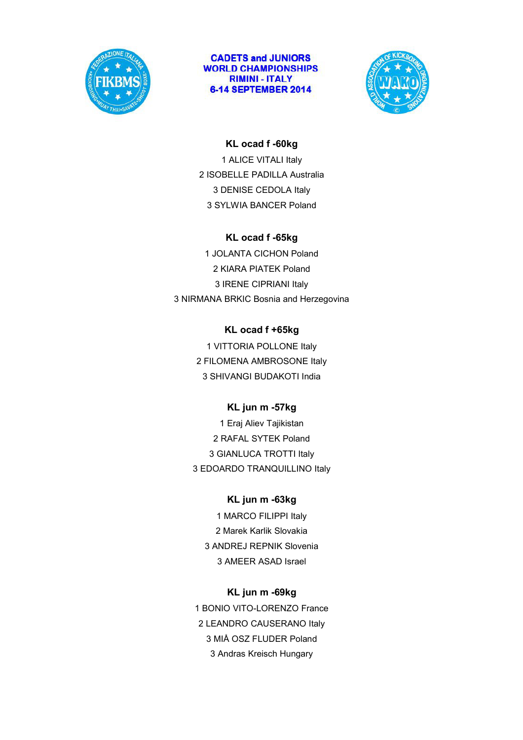



#### **KL ocad f -60kg**

1 ALICE VITALI Italy 2 ISOBELLE PADILLA Australia 3 DENISE CEDOLA Italy 3 SYLWIA BANCER Poland

### **KL ocad f -65kg**

1 JOLANTA CICHON Poland 2 KIARA PIATEK Poland 3 IRENE CIPRIANI Italy 3 NIRMANA BRKIC Bosnia and Herzegovina

## **KL ocad f +65kg**

1 VITTORIA POLLONE Italy 2 FILOMENA AMBROSONE Italy 3 SHIVANGI BUDAKOTI India

## **KL jun m -57kg**

1 Eraj Aliev Tajikistan 2 RAFAL SYTEK Poland 3 GIANLUCA TROTTI Italy 3 EDOARDO TRANQUILLINO Italy

## **KL jun m -63kg**

1 MARCO FILIPPI Italy 2 Marek Karlik Slovakia 3 ANDREJ REPNIK Slovenia 3 AMEER ASAD Israel

## **KL jun m -69kg**

1 BONIO VITO-LORENZO France 2 LEANDRO CAUSERANO Italy 3 MIÅ OSZ FLUDER Poland 3 Andras Kreisch Hungary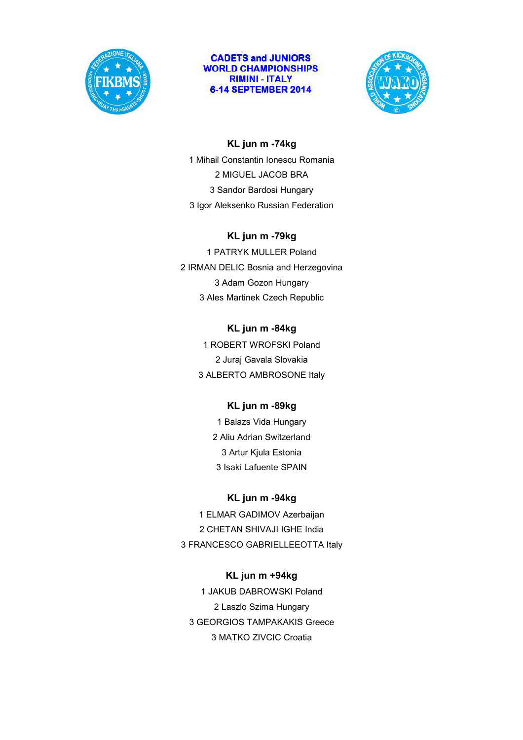



## **KL jun m -74kg** 1 Mihail Constantin Ionescu Romania 2 MIGUEL JACOB BRA 3 Sandor Bardosi Hungary 3 Igor Aleksenko Russian Federation

#### **KL jun m -79kg**

1 PATRYK MULLER Poland 2 IRMAN DELIC Bosnia and Herzegovina 3 Adam Gozon Hungary 3 Ales Martinek Czech Republic

#### **KL jun m -84kg**

1 ROBERT WROFSKI Poland 2 Juraj Gavala Slovakia 3 ALBERTO AMBROSONE Italy

## **KL jun m -89kg**

1 Balazs Vida Hungary 2 Aliu Adrian Switzerland 3 Artur Kjula Estonia 3 Isaki Lafuente SPAIN

## **KL jun m -94kg**

1 ELMAR GADIMOV Azerbaijan 2 CHETAN SHIVAJI IGHE India 3 FRANCESCO GABRIELLEEOTTA Italy

## **KL jun m +94kg**

1 JAKUB DABROWSKI Poland 2 Laszlo Szima Hungary 3 GEORGIOS TAMPAKAKIS Greece 3 MATKO ZIVCIC Croatia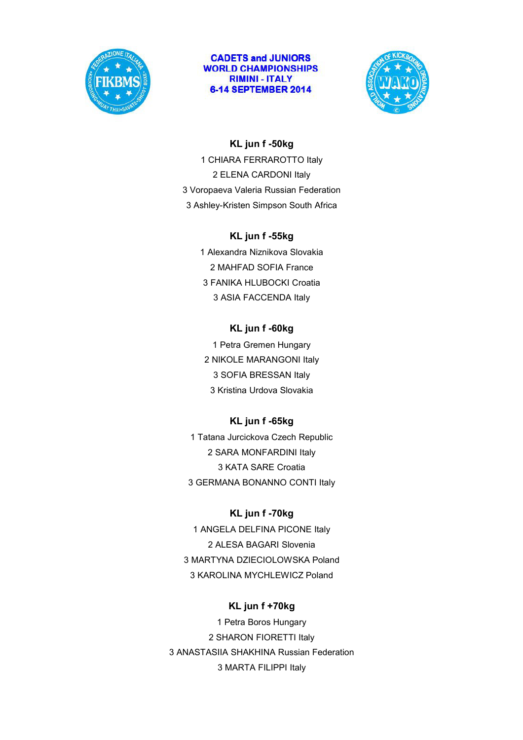



#### **KL jun f -50kg**

1 CHIARA FERRAROTTO Italy 2 ELENA CARDONI Italy 3 Voropaeva Valeria Russian Federation 3 Ashley-Kristen Simpson South Africa

#### **KL jun f -55kg**

1 Alexandra Niznikova Slovakia 2 MAHFAD SOFIA France 3 FANIKA HLUBOCKI Croatia 3 ASIA FACCENDA Italy

### **KL jun f -60kg**

1 Petra Gremen Hungary 2 NIKOLE MARANGONI Italy 3 SOFIA BRESSAN Italy 3 Kristina Urdova Slovakia

## **KL jun f -65kg**

1 Tatana Jurcickova Czech Republic 2 SARA MONFARDINI Italy 3 KATA SARE Croatia 3 GERMANA BONANNO CONTI Italy

### **KL jun f -70kg**

1 ANGELA DELFINA PICONE Italy 2 ALESA BAGARI Slovenia 3 MARTYNA DZIECIOLOWSKA Poland 3 KAROLINA MYCHLEWICZ Poland

#### **KL jun f +70kg**

1 Petra Boros Hungary 2 SHARON FIORETTI Italy 3 ANASTASIIA SHAKHINA Russian Federation 3 MARTA FILIPPI Italy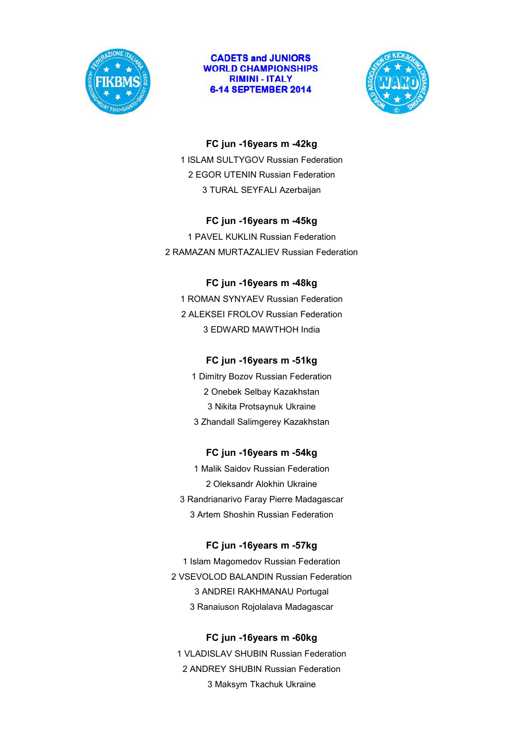



#### **FC jun -16years m -42kg**

1 ISLAM SULTYGOV Russian Federation 2 EGOR UTENIN Russian Federation 3 TURAL SEYFALI Azerbaijan

#### **FC jun -16years m -45kg**

1 PAVEL KUKLIN Russian Federation 2 RAMAZAN MURTAZALIEV Russian Federation

### **FC jun -16years m -48kg**

1 ROMAN SYNYAEV Russian Federation 2 ALEKSEI FROLOV Russian Federation 3 EDWARD MAWTHOH India

#### **FC jun -16years m -51kg**

1 Dimitry Bozov Russian Federation 2 Onebek Selbay Kazakhstan 3 Nikita Protsaynuk Ukraine 3 Zhandall Salimgerey Kazakhstan

#### **FC jun -16years m -54kg**

1 Malik Saidov Russian Federation 2 Oleksandr Alokhin Ukraine 3 Randrianarivo Faray Pierre Madagascar 3 Artem Shoshin Russian Federation

#### **FC jun -16years m -57kg**

1 Islam Magomedov Russian Federation 2 VSEVOLOD BALANDIN Russian Federation 3 ANDREI RAKHMANAU Portugal 3 Ranaiuson Rojolalava Madagascar

#### **FC jun -16years m -60kg**

1 VLADISLAV SHUBIN Russian Federation 2 ANDREY SHUBIN Russian Federation 3 Maksym Tkachuk Ukraine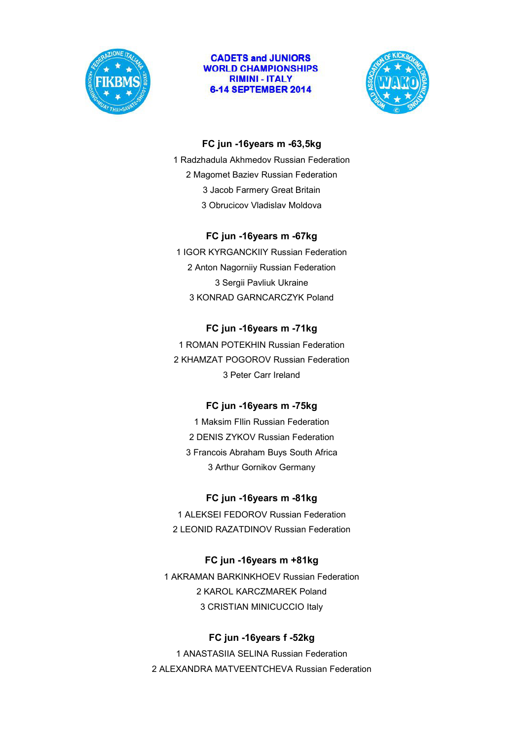



### **FC jun -16years m -63,5kg**

1 Radzhadula Akhmedov Russian Federation 2 Magomet Baziev Russian Federation 3 Jacob Farmery Great Britain 3 Obrucicov Vladislav Moldova

### **FC jun -16years m -67kg**

1 IGOR KYRGANCKIIY Russian Federation 2 Anton Nagorniiy Russian Federation 3 Sergii Pavliuk Ukraine 3 KONRAD GARNCARCZYK Poland

## **FC jun -16years m -71kg**

1 ROMAN POTEKHIN Russian Federation 2 KHAMZAT POGOROV Russian Federation 3 Peter Carr Ireland

## **FC jun -16years m -75kg**

1 Maksim FIlin Russian Federation 2 DENIS ZYKOV Russian Federation 3 Francois Abraham Buys South Africa 3 Arthur Gornikov Germany

## **FC jun -16years m -81kg**

1 ALEKSEI FEDOROV Russian Federation 2 LEONID RAZATDINOV Russian Federation

## **FC jun -16years m +81kg**

1 AKRAMAN BARKINKHOEV Russian Federation 2 KAROL KARCZMAREK Poland 3 CRISTIAN MINICUCCIO Italy

## **FC jun -16years f -52kg**

1 ANASTASIIA SELINA Russian Federation 2 ALEXANDRA MATVEENTCHEVA Russian Federation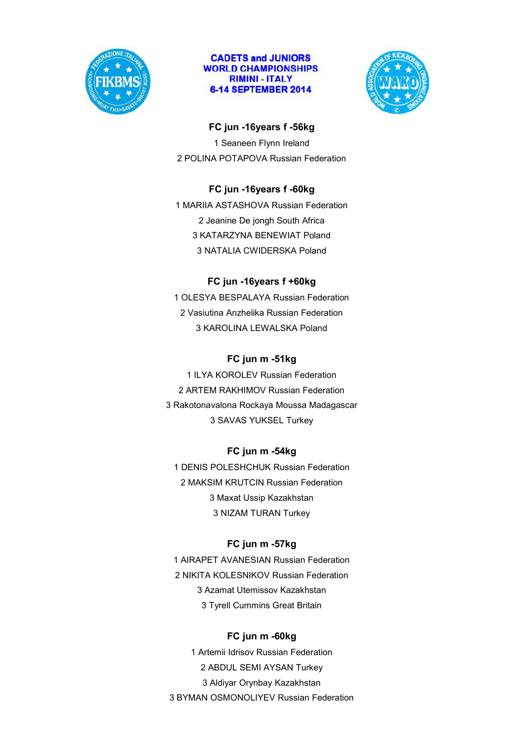



#### **FC jun -16years f -56kg**

1 Seaneen Flynn Ireland 2 POLINA POTAPOVA Russian Federation

## **FC jun -16years f -60kg**

1 MARIIA ASTASHOVA Russian Federation 2 Jeanine De jongh South Africa 3 KATARZYNA BENEWIAT Poland 3 NATALIA CWIDERSKA Poland

## **FC jun -16years f +60kg**

1 OLESYA BESPALAYA Russian Federation 2 Vasiutina Anzhelika Russian Federation 3 KAROLINA LEWALSKA Poland

## **FC jun m -51kg**

1 ILYA KOROLEV Russian Federation 2 ARTEM RAKHIMOV Russian Federation 3 Rakotonavalona Rockaya Moussa Madagascar 3 SAVAS YUKSEL Turkey

## **FC jun m -54kg**

1 DENIS POLESHCHUK Russian Federation 2 MAKSIM KRUTCIN Russian Federation 3 Maxat Ussip Kazakhstan 3 NIZAM TURAN Turkey

## **FC jun m -57kg**

1 AIRAPET AVANESIAN Russian Federation 2 NIKITA KOLESNIKOV Russian Federation 3 Azamat Utemissov Kazakhstan 3 Tyrell Cummins Great Britain

#### **FC jun m -60kg**

1 Artemii Idrisov Russian Federation 2 ABDUL SEMI AYSAN Turkey 3 Aldiyar Orynbay Kazakhstan 3 BYMAN OSMONOLIYEV Russian Federation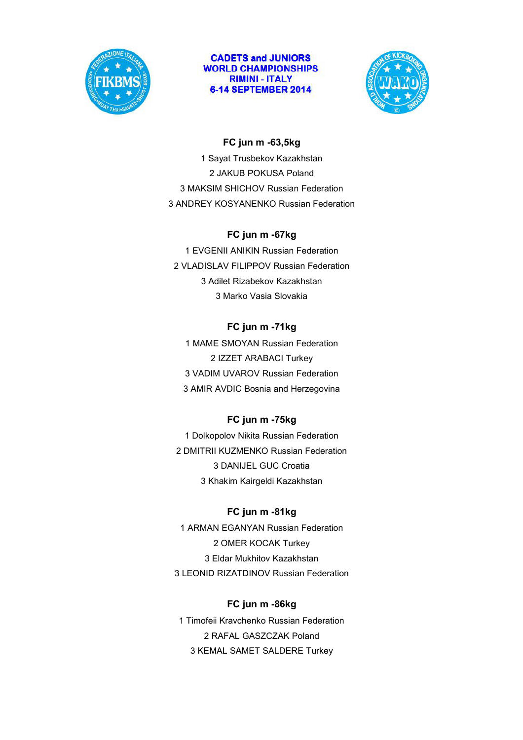



### **FC jun m -63,5kg**

1 Sayat Trusbekov Kazakhstan 2 JAKUB POKUSA Poland 3 MAKSIM SHICHOV Russian Federation 3 ANDREY KOSYANENKO Russian Federation

#### **FC jun m -67kg**

1 EVGENII ANIKIN Russian Federation 2 VLADISLAV FILIPPOV Russian Federation 3 Adilet Rizabekov Kazakhstan 3 Marko Vasia Slovakia

## **FC jun m -71kg**

1 MAME SMOYAN Russian Federation 2 IZZET ARABACI Turkey 3 VADIM UVAROV Russian Federation 3 AMIR AVDIC Bosnia and Herzegovina

#### **FC jun m -75kg**

1 Dolkopolov Nikita Russian Federation 2 DMITRII KUZMENKO Russian Federation 3 DANIJEL GUC Croatia 3 Khakim Kairgeldi Kazakhstan

#### **FC jun m -81kg**

1 ARMAN EGANYAN Russian Federation 2 OMER KOCAK Turkey 3 Eldar Mukhitov Kazakhstan 3 LEONID RIZATDINOV Russian Federation

#### **FC jun m -86kg**

1 Timofeii Kravchenko Russian Federation 2 RAFAL GASZCZAK Poland 3 KEMAL SAMET SALDERE Turkey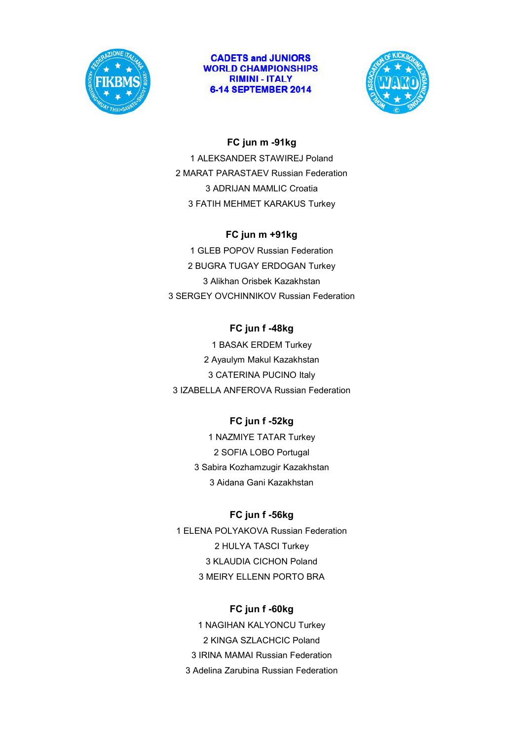



### **FC jun m -91kg**

1 ALEKSANDER STAWIREJ Poland 2 MARAT PARASTAEV Russian Federation 3 ADRIJAN MAMLIC Croatia 3 FATIH MEHMET KARAKUS Turkey

#### **FC jun m +91kg**

1 GLEB POPOV Russian Federation 2 BUGRA TUGAY ERDOGAN Turkey 3 Alikhan Orisbek Kazakhstan 3 SERGEY OVCHINNIKOV Russian Federation

## **FC jun f -48kg**

1 BASAK ERDEM Turkey 2 Ayaulym Makul Kazakhstan 3 CATERINA PUCINO Italy 3 IZABELLA ANFEROVA Russian Federation

## **FC jun f -52kg**

1 NAZMIYE TATAR Turkey 2 SOFIA LOBO Portugal 3 Sabira Kozhamzugir Kazakhstan 3 Aidana Gani Kazakhstan

#### **FC jun f -56kg**

1 ELENA POLYAKOVA Russian Federation 2 HULYA TASCI Turkey 3 KLAUDIA CICHON Poland 3 MEIRY ELLENN PORTO BRA

#### **FC jun f -60kg**

1 NAGIHAN KALYONCU Turkey 2 KINGA SZLACHCIC Poland 3 IRINA MAMAI Russian Federation 3 Adelina Zarubina Russian Federation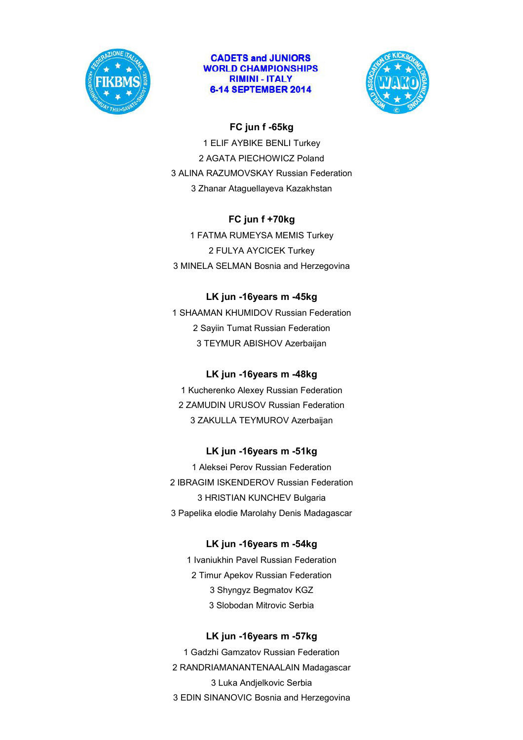



## **FC jun f -65kg**

1 ELIF AYBIKE BENLI Turkey 2 AGATA PIECHOWICZ Poland 3 ALINA RAZUMOVSKAY Russian Federation 3 Zhanar Ataguellayeva Kazakhstan

## **FC jun f +70kg**

1 FATMA RUMEYSA MEMIS Turkey 2 FULYA AYCICEK Turkey 3 MINELA SELMAN Bosnia and Herzegovina

## **LK jun -16years m -45kg**

1 SHAAMAN KHUMIDOV Russian Federation 2 Sayiin Tumat Russian Federation 3 TEYMUR ABISHOV Azerbaijan

## **LK jun -16years m -48kg**

1 Kucherenko Alexey Russian Federation 2 ZAMUDIN URUSOV Russian Federation 3 ZAKULLA TEYMUROV Azerbaijan

## **LK jun -16years m -51kg**

1 Aleksei Perov Russian Federation 2 IBRAGIM ISKENDEROV Russian Federation 3 HRISTIAN KUNCHEV Bulgaria 3 Papelika elodie Marolahy Denis Madagascar

## **LK jun -16years m -54kg**

1 Ivaniukhin Pavel Russian Federation 2 Timur Apekov Russian Federation 3 Shyngyz Begmatov KGZ 3 Slobodan Mitrovic Serbia

## **LK jun -16years m -57kg**

1 Gadzhi Gamzatov Russian Federation 2 RANDRIAMANANTENAALAIN Madagascar 3 Luka Andjelkovic Serbia 3 EDIN SINANOVIC Bosnia and Herzegovina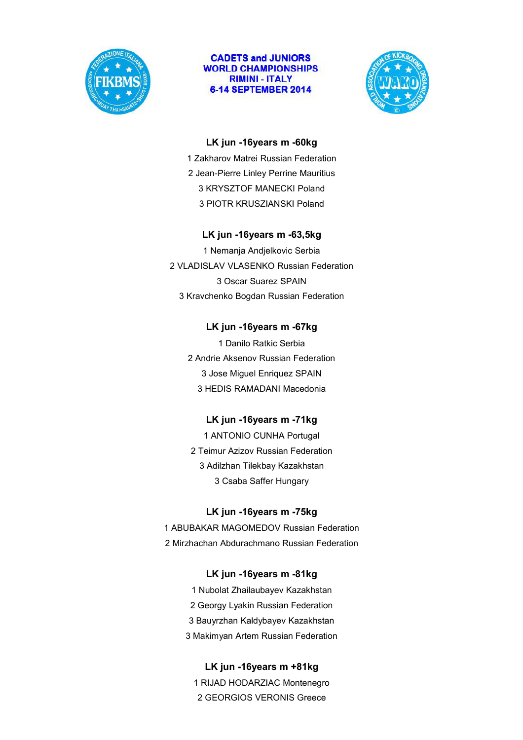



#### **LK jun -16years m -60kg**

1 Zakharov Matrei Russian Federation 2 Jean-Pierre Linley Perrine Mauritius 3 KRYSZTOF MANECKI Poland 3 PIOTR KRUSZIANSKI Poland

### **LK jun -16years m -63,5kg**

1 Nemanja Andjelkovic Serbia 2 VLADISLAV VLASENKO Russian Federation 3 Oscar Suarez SPAIN 3 Kravchenko Bogdan Russian Federation

## **LK jun -16years m -67kg**

1 Danilo Ratkic Serbia 2 Andrie Aksenov Russian Federation 3 Jose Miguel Enriquez SPAIN 3 HEDIS RAMADANI Macedonia

## **LK jun -16years m -71kg**

1 ANTONIO CUNHA Portugal 2 Teimur Azizov Russian Federation 3 Adilzhan Tilekbay Kazakhstan 3 Csaba Saffer Hungary

## **LK jun -16years m -75kg**

1 ABUBAKAR MAGOMEDOV Russian Federation 2 Mirzhachan Abdurachmano Russian Federation

## **LK jun -16years m -81kg**

1 Nubolat Zhailaubayev Kazakhstan 2 Georgy Lyakin Russian Federation 3 Bauyrzhan Kaldybayev Kazakhstan 3 Makimyan Artem Russian Federation

## **LK jun -16years m +81kg**

1 RIJAD HODARZIAC Montenegro 2 GEORGIOS VERONIS Greece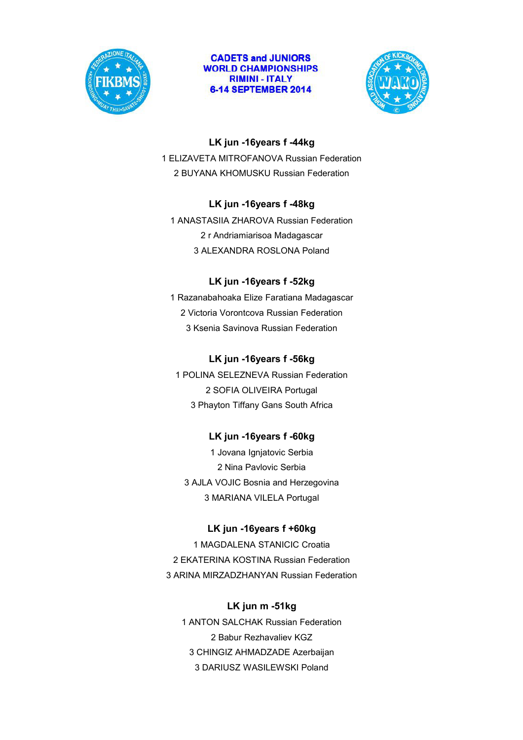



### **LK jun -16years f -44kg**

1 ELIZAVETA MITROFANOVA Russian Federation 2 BUYANA KHOMUSKU Russian Federation

### **LK jun -16years f -48kg**

1 ANASTASIIA ZHAROVA Russian Federation 2 r Andriamiarisoa Madagascar 3 ALEXANDRA ROSLONA Poland

## **LK jun -16years f -52kg**

1 Razanabahoaka Elize Faratiana Madagascar 2 Victoria Vorontcova Russian Federation 3 Ksenia Savinova Russian Federation

### **LK jun -16years f -56kg**

1 POLINA SELEZNEVA Russian Federation 2 SOFIA OLIVEIRA Portugal 3 Phayton Tiffany Gans South Africa

## **LK jun -16years f -60kg**

1 Jovana Ignjatovic Serbia 2 Nina Pavlovic Serbia 3 AJLA VOJIC Bosnia and Herzegovina 3 MARIANA VILELA Portugal

## **LK jun -16years f +60kg**

1 MAGDALENA STANICIC Croatia 2 EKATERINA KOSTINA Russian Federation 3 ARINA MIRZADZHANYAN Russian Federation

#### **LK jun m -51kg**

1 ANTON SALCHAK Russian Federation 2 Babur Rezhavaliev KGZ 3 CHINGIZ AHMADZADE Azerbaijan 3 DARIUSZ WASILEWSKI Poland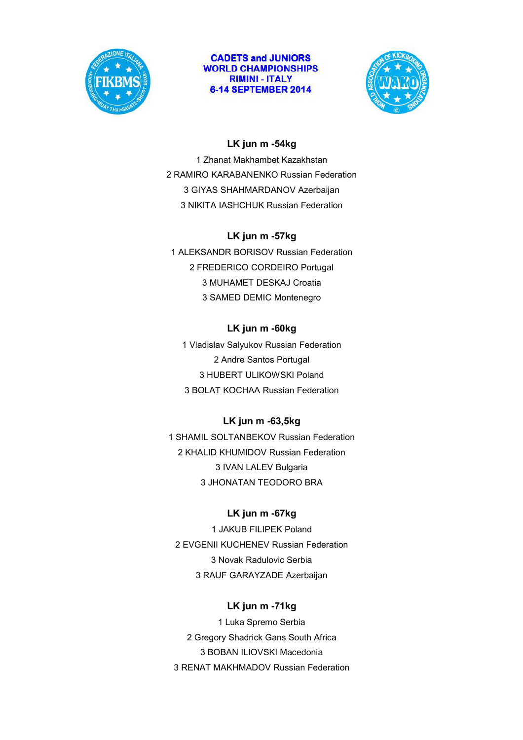



## **LK jun m -54kg**

1 Zhanat Makhambet Kazakhstan 2 RAMIRO KARABANENKO Russian Federation 3 GIYAS SHAHMARDANOV Azerbaijan 3 NIKITA IASHCHUK Russian Federation

### **LK jun m -57kg**

1 ALEKSANDR BORISOV Russian Federation 2 FREDERICO CORDEIRO Portugal 3 MUHAMET DESKAJ Croatia 3 SAMED DEMIC Montenegro

## **LK jun m -60kg**

1 Vladislav Salyukov Russian Federation 2 Andre Santos Portugal 3 HUBERT ULIKOWSKI Poland 3 BOLAT KOCHAA Russian Federation

## **LK jun m -63,5kg**

1 SHAMIL SOLTANBEKOV Russian Federation 2 KHALID KHUMIDOV Russian Federation 3 IVAN LALEV Bulgaria 3 JHONATAN TEODORO BRA

## **LK jun m -67kg**

1 JAKUB FILIPEK Poland 2 EVGENII KUCHENEV Russian Federation 3 Novak Radulovic Serbia 3 RAUF GARAYZADE Azerbaijan

## **LK jun m -71kg**

1 Luka Spremo Serbia 2 Gregory Shadrick Gans South Africa 3 BOBAN ILIOVSKI Macedonia 3 RENAT MAKHMADOV Russian Federation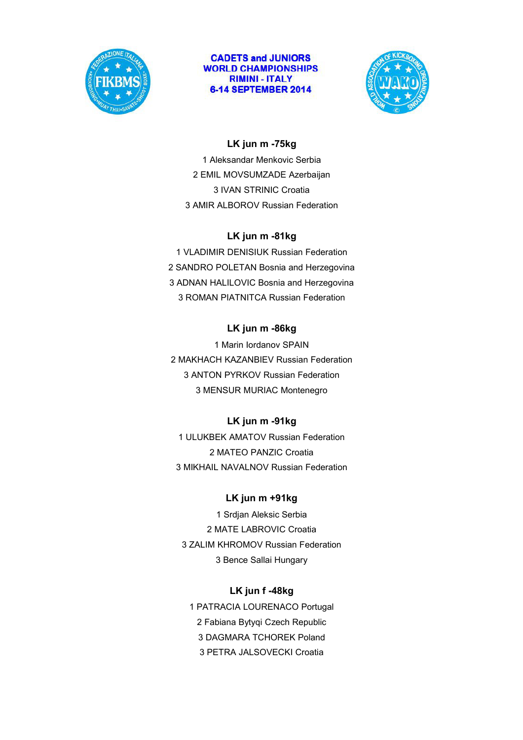



## **LK jun m -75kg**

1 Aleksandar Menkovic Serbia 2 EMIL MOVSUMZADE Azerbaijan 3 IVAN STRINIC Croatia 3 AMIR ALBOROV Russian Federation

### **LK jun m -81kg**

1 VLADIMIR DENISIUK Russian Federation 2 SANDRO POLETAN Bosnia and Herzegovina 3 ADNAN HALILOVIC Bosnia and Herzegovina 3 ROMAN PIATNITCA Russian Federation

## **LK jun m -86kg**

1 Marin Iordanov SPAIN 2 MAKHACH KAZANBIEV Russian Federation 3 ANTON PYRKOV Russian Federation 3 MENSUR MURIAC Montenegro

## **LK jun m -91kg**

1 ULUKBEK AMATOV Russian Federation 2 MATEO PANZIC Croatia 3 MIKHAIL NAVALNOV Russian Federation

## **LK jun m +91kg**

1 Srdjan Aleksic Serbia 2 MATE LABROVIC Croatia 3 ZALIM KHROMOV Russian Federation 3 Bence Sallai Hungary

## **LK jun f -48kg**

1 PATRACIA LOURENACO Portugal 2 Fabiana Bytyqi Czech Republic 3 DAGMARA TCHOREK Poland 3 PETRA JALSOVECKI Croatia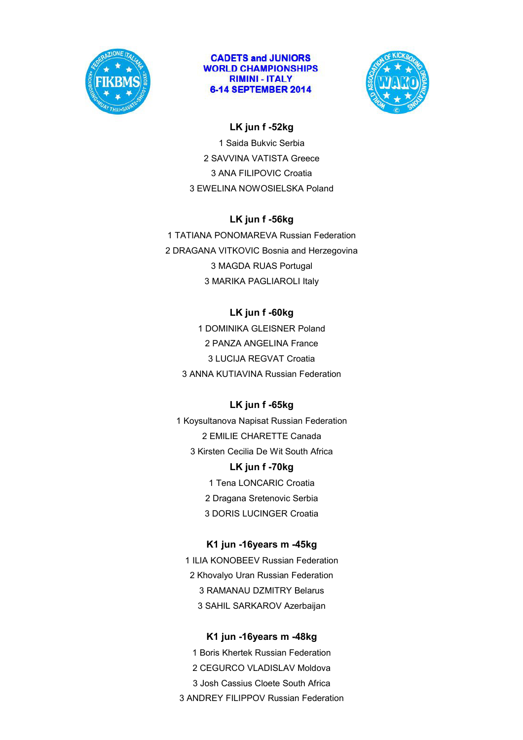



## **LK jun f -52kg**

1 Saida Bukvic Serbia 2 SAVVINA VATISTA Greece 3 ANA FILIPOVIC Croatia 3 EWELINA NOWOSIELSKA Poland

## **LK jun f -56kg**

1 TATIANA PONOMAREVA Russian Federation 2 DRAGANA VITKOVIC Bosnia and Herzegovina 3 MAGDA RUAS Portugal 3 MARIKA PAGLIAROLI Italy

## **LK jun f -60kg**

1 DOMINIKA GLEISNER Poland 2 PANZA ANGELINA France 3 LUCIJA REGVAT Croatia 3 ANNA KUTIAVINA Russian Federation

## **LK jun f -65kg**

1 Koysultanova Napisat Russian Federation 2 EMILIE CHARETTE Canada 3 Kirsten Cecilia De Wit South Africa **LK jun f -70kg** 1 Tena LONCARIC Croatia

- 2 Dragana Sretenovic Serbia
- 3 DORIS LUCINGER Croatia

## **K1 jun -16years m -45kg**

1 ILIA KONOBEEV Russian Federation 2 Khovalyo Uran Russian Federation 3 RAMANAU DZMITRY Belarus 3 SAHIL SARKAROV Azerbaijan

## **K1 jun -16years m -48kg**

1 Boris Khertek Russian Federation 2 CEGURCO VLADISLAV Moldova 3 Josh Cassius Cloete South Africa 3 ANDREY FILIPPOV Russian Federation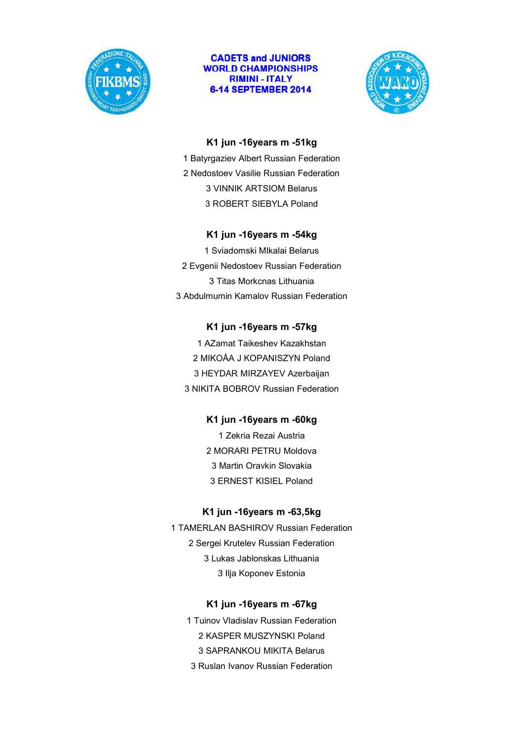



#### **K1 jun -16years m -51kg**

1 Batyrgaziev Albert Russian Federation 2 Nedostoev Vasilie Russian Federation 3 VINNIK ARTSIOM Belarus 3 ROBERT SIEBYLA Poland

### **K1 jun -16years m -54kg**

1 Sviadomski MIkalai Belarus 2 Evgenii Nedostoev Russian Federation 3 Titas Morkcnas Lithuania 3 Abdulmumin Kamalov Russian Federation

### **K1 jun -16years m -57kg**

1 AZamat Taikeshev Kazakhstan 2 MIKOÅA J KOPANISZYN Poland 3 HEYDAR MIRZAYEV Azerbaijan 3 NIKITA BOBROV Russian Federation

## **K1 jun -16years m -60kg**

1 Zekria Rezai Austria 2 MORARI PETRU Moldova 3 Martin Oravkin Slovakia 3 ERNEST KISIEL Poland

#### **K1 jun -16years m -63,5kg**

1 TAMERLAN BASHIROV Russian Federation 2 Sergei Krutelev Russian Federation 3 Lukas Jablonskas Lithuania 3 Ilja Koponev Estonia

#### **K1 jun -16years m -67kg**

1 Tuinov Vladislav Russian Federation 2 KASPER MUSZYNSKI Poland 3 SAPRANKOU MIKITA Belarus

3 Ruslan Ivanov Russian Federation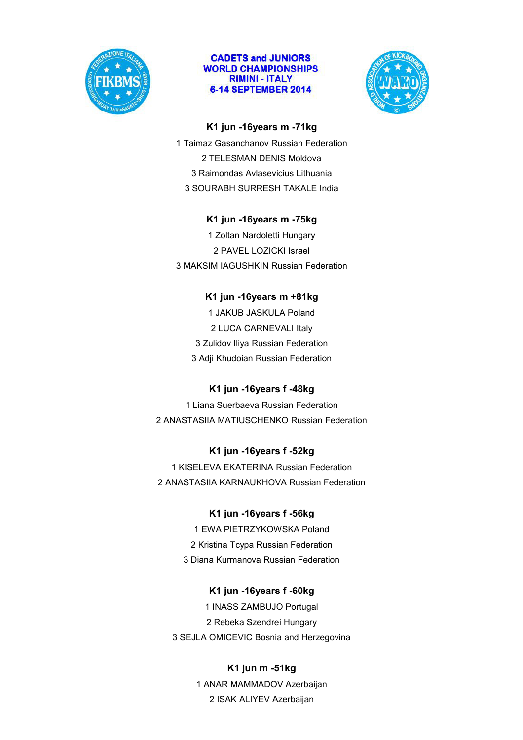



#### **K1 jun -16years m -71kg**

1 Taimaz Gasanchanov Russian Federation 2 TELESMAN DENIS Moldova 3 Raimondas Avlasevicius Lithuania 3 SOURABH SURRESH TAKALE India

### **K1 jun -16years m -75kg**

1 Zoltan Nardoletti Hungary 2 PAVEL LOZICKI Israel 3 MAKSIM IAGUSHKIN Russian Federation

## **K1 jun -16years m +81kg**

1 JAKUB JASKULA Poland 2 LUCA CARNEVALI Italy 3 Zulidov Iliya Russian Federation 3 Adji Khudoian Russian Federation

## **K1 jun -16years f -48kg**

1 Liana Suerbaeva Russian Federation 2 ANASTASIIA MATIUSCHENKO Russian Federation

## **K1 jun -16years f -52kg**

1 KISELEVA EKATERINA Russian Federation 2 ANASTASIIA KARNAUKHOVA Russian Federation

## **K1 jun -16years f -56kg**

1 EWA PIETRZYKOWSKA Poland 2 Kristina Tcypa Russian Federation 3 Diana Kurmanova Russian Federation

#### **K1 jun -16years f -60kg**

1 INASS ZAMBUJO Portugal 2 Rebeka Szendrei Hungary 3 SEJLA OMICEVIC Bosnia and Herzegovina

#### **K1 jun m -51kg**

1 ANAR MAMMADOV Azerbaijan 2 ISAK ALIYEV Azerbaijan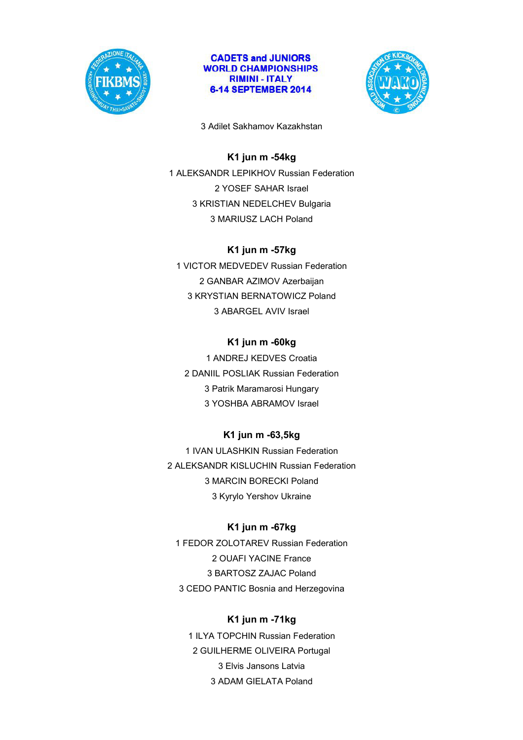



3 Adilet Sakhamov Kazakhstan

## **K1 jun m -54kg**

1 ALEKSANDR LEPIKHOV Russian Federation 2 YOSEF SAHAR Israel 3 KRISTIAN NEDELCHEV Bulgaria 3 MARIUSZ LACH Poland

## **K1 jun m -57kg**

1 VICTOR MEDVEDEV Russian Federation 2 GANBAR AZIMOV Azerbaijan 3 KRYSTIAN BERNATOWICZ Poland 3 ABARGEL AVIV Israel

## **K1 jun m -60kg**

1 ANDREJ KEDVES Croatia 2 DANIIL POSLIAK Russian Federation 3 Patrik Maramarosi Hungary 3 YOSHBA ABRAMOV Israel

## **K1 jun m -63,5kg**

1 IVAN ULASHKIN Russian Federation 2 ALEKSANDR KISLUCHIN Russian Federation 3 MARCIN BORECKI Poland 3 Kyrylo Yershov Ukraine

## **K1 jun m -67kg**

1 FEDOR ZOLOTAREV Russian Federation 2 OUAFI YACINE France 3 BARTOSZ ZAJAC Poland 3 CEDO PANTIC Bosnia and Herzegovina

## **K1 jun m -71kg**

1 ILYA TOPCHIN Russian Federation 2 GUILHERME OLIVEIRA Portugal 3 Elvis Jansons Latvia 3 ADAM GIELATA Poland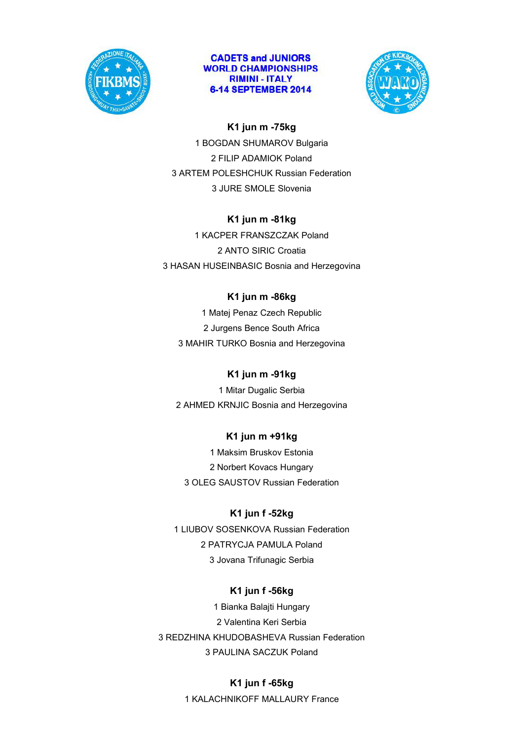



## **K1 jun m -75kg**

1 BOGDAN SHUMAROV Bulgaria 2 FILIP ADAMIOK Poland 3 ARTEM POLESHCHUK Russian Federation 3 JURE SMOLE Slovenia

## **K1 jun m -81kg**

1 KACPER FRANSZCZAK Poland 2 ANTO SIRIC Croatia 3 HASAN HUSEINBASIC Bosnia and Herzegovina

## **K1 jun m -86kg**

1 Matej Penaz Czech Republic 2 Jurgens Bence South Africa 3 MAHIR TURKO Bosnia and Herzegovina

## **K1 jun m -91kg**

1 Mitar Dugalic Serbia 2 AHMED KRNJIC Bosnia and Herzegovina

## **K1 jun m +91kg**

1 Maksim Bruskov Estonia 2 Norbert Kovacs Hungary 3 OLEG SAUSTOV Russian Federation

## **K1 jun f -52kg**

1 LIUBOV SOSENKOVA Russian Federation 2 PATRYCJA PAMULA Poland 3 Jovana Trifunagic Serbia

## **K1 jun f -56kg**

1 Bianka Balajti Hungary 2 Valentina Keri Serbia 3 REDZHINA KHUDOBASHEVA Russian Federation 3 PAULINA SACZUK Poland

## **K1 jun f -65kg**

1 KALACHNIKOFF MALLAURY France